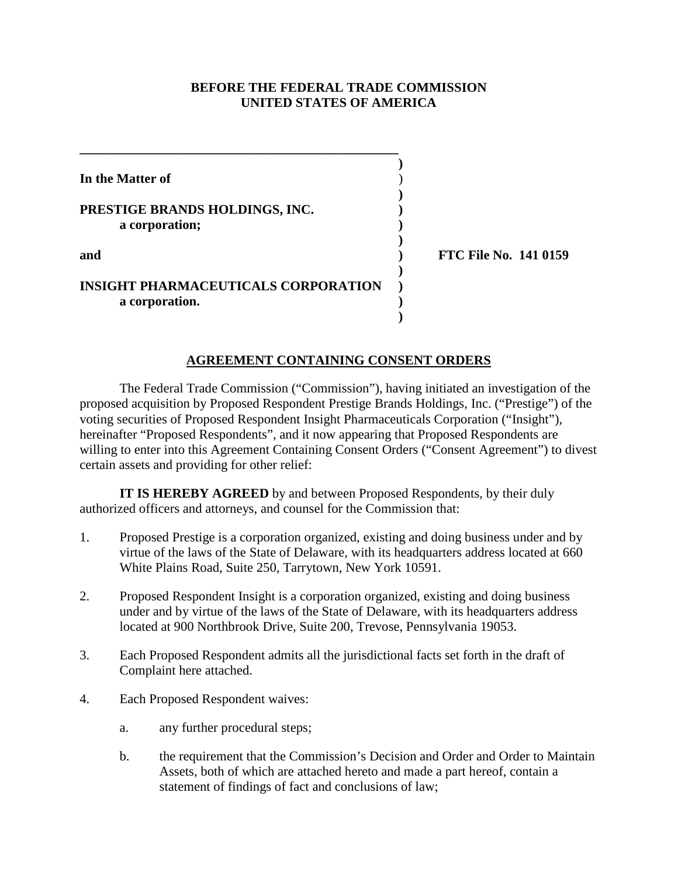#### **BEFORE THE FEDERAL TRADE COMMISSION UNITED STATES OF AMERICA**

| In the Matter of                           |                              |
|--------------------------------------------|------------------------------|
|                                            |                              |
| PRESTIGE BRANDS HOLDINGS, INC.             |                              |
| a corporation;                             |                              |
|                                            |                              |
| and                                        | <b>FTC File No. 141 0159</b> |
|                                            |                              |
| <b>INSIGHT PHARMACEUTICALS CORPORATION</b> |                              |
| a corporation.                             |                              |
|                                            |                              |

## **AGREEMENT CONTAINING CONSENT ORDERS**

The Federal Trade Commission ("Commission"), having initiated an investigation of the proposed acquisition by Proposed Respondent Prestige Brands Holdings, Inc. ("Prestige") of the voting securities of Proposed Respondent Insight Pharmaceuticals Corporation ("Insight"), hereinafter "Proposed Respondents", and it now appearing that Proposed Respondents are willing to enter into this Agreement Containing Consent Orders ("Consent Agreement") to divest certain assets and providing for other relief:

**IT IS HEREBY AGREED** by and between Proposed Respondents, by their duly authorized officers and attorneys, and counsel for the Commission that:

- 1. Proposed Prestige is a corporation organized, existing and doing business under and by virtue of the laws of the State of Delaware, with its headquarters address located at 660 White Plains Road, Suite 250, Tarrytown, New York 10591.
- 2. Proposed Respondent Insight is a corporation organized, existing and doing business under and by virtue of the laws of the State of Delaware, with its headquarters address located at 900 Northbrook Drive, Suite 200, Trevose, Pennsylvania 19053.
- 3. Each Proposed Respondent admits all the jurisdictional facts set forth in the draft of Complaint here attached.
- 4. Each Proposed Respondent waives:
	- a. any further procedural steps;
	- b. the requirement that the Commission's Decision and Order and Order to Maintain Assets, both of which are attached hereto and made a part hereof, contain a statement of findings of fact and conclusions of law;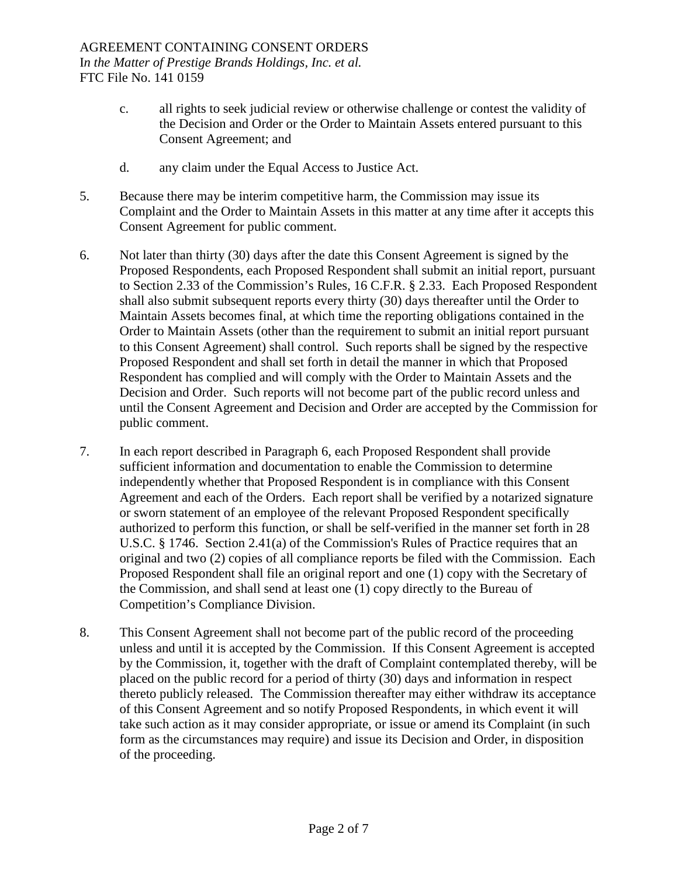- c. all rights to seek judicial review or otherwise challenge or contest the validity of the Decision and Order or the Order to Maintain Assets entered pursuant to this Consent Agreement; and
- d. any claim under the Equal Access to Justice Act.
- 5. Because there may be interim competitive harm, the Commission may issue its Complaint and the Order to Maintain Assets in this matter at any time after it accepts this Consent Agreement for public comment.
- 6. Not later than thirty (30) days after the date this Consent Agreement is signed by the Proposed Respondents, each Proposed Respondent shall submit an initial report, pursuant to Section 2.33 of the Commission's Rules, 16 C.F.R. § 2.33. Each Proposed Respondent shall also submit subsequent reports every thirty (30) days thereafter until the Order to Maintain Assets becomes final, at which time the reporting obligations contained in the Order to Maintain Assets (other than the requirement to submit an initial report pursuant to this Consent Agreement) shall control. Such reports shall be signed by the respective Proposed Respondent and shall set forth in detail the manner in which that Proposed Respondent has complied and will comply with the Order to Maintain Assets and the Decision and Order. Such reports will not become part of the public record unless and until the Consent Agreement and Decision and Order are accepted by the Commission for public comment.
- 7. In each report described in Paragraph 6, each Proposed Respondent shall provide sufficient information and documentation to enable the Commission to determine independently whether that Proposed Respondent is in compliance with this Consent Agreement and each of the Orders. Each report shall be verified by a notarized signature or sworn statement of an employee of the relevant Proposed Respondent specifically authorized to perform this function, or shall be self-verified in the manner set forth in 28 U.S.C. § 1746. Section 2.41(a) of the Commission's Rules of Practice requires that an original and two (2) copies of all compliance reports be filed with the Commission. Each Proposed Respondent shall file an original report and one (1) copy with the Secretary of the Commission, and shall send at least one (1) copy directly to the Bureau of Competition's Compliance Division.
- 8. This Consent Agreement shall not become part of the public record of the proceeding unless and until it is accepted by the Commission. If this Consent Agreement is accepted by the Commission, it, together with the draft of Complaint contemplated thereby, will be placed on the public record for a period of thirty (30) days and information in respect thereto publicly released. The Commission thereafter may either withdraw its acceptance of this Consent Agreement and so notify Proposed Respondents, in which event it will take such action as it may consider appropriate, or issue or amend its Complaint (in such form as the circumstances may require) and issue its Decision and Order, in disposition of the proceeding.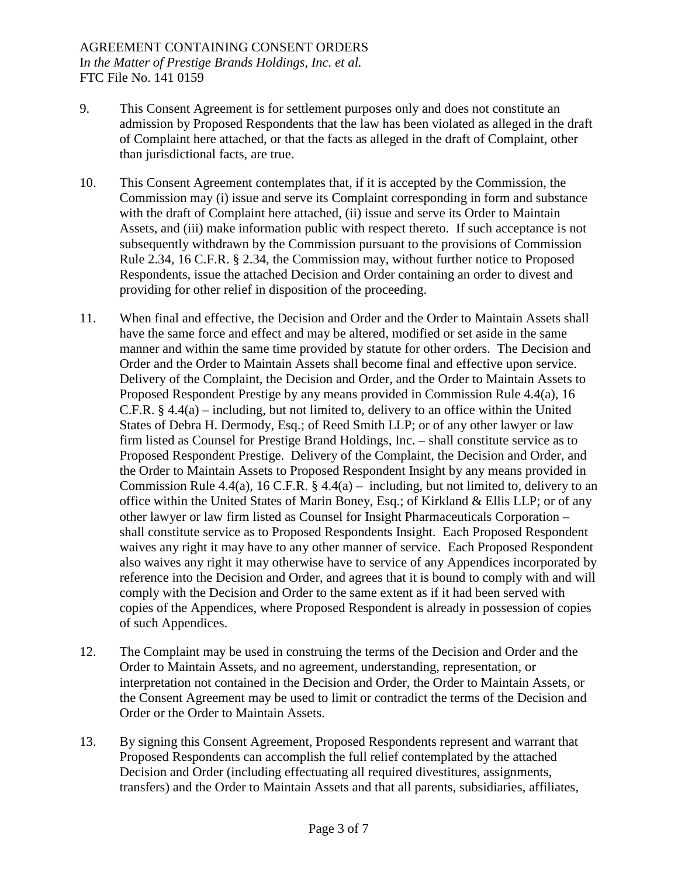- 9. This Consent Agreement is for settlement purposes only and does not constitute an admission by Proposed Respondents that the law has been violated as alleged in the draft of Complaint here attached, or that the facts as alleged in the draft of Complaint, other than jurisdictional facts, are true.
- 10. This Consent Agreement contemplates that, if it is accepted by the Commission, the Commission may (i) issue and serve its Complaint corresponding in form and substance with the draft of Complaint here attached, (ii) issue and serve its Order to Maintain Assets, and (iii) make information public with respect thereto. If such acceptance is not subsequently withdrawn by the Commission pursuant to the provisions of Commission Rule 2.34, 16 C.F.R. § 2.34, the Commission may, without further notice to Proposed Respondents, issue the attached Decision and Order containing an order to divest and providing for other relief in disposition of the proceeding.
- 11. When final and effective, the Decision and Order and the Order to Maintain Assets shall have the same force and effect and may be altered, modified or set aside in the same manner and within the same time provided by statute for other orders. The Decision and Order and the Order to Maintain Assets shall become final and effective upon service. Delivery of the Complaint, the Decision and Order, and the Order to Maintain Assets to Proposed Respondent Prestige by any means provided in Commission Rule 4.4(a), 16 C.F.R. § 4.4(a) – including, but not limited to, delivery to an office within the United States of Debra H. Dermody, Esq.; of Reed Smith LLP; or of any other lawyer or law firm listed as Counsel for Prestige Brand Holdings, Inc. – shall constitute service as to Proposed Respondent Prestige. Delivery of the Complaint, the Decision and Order, and the Order to Maintain Assets to Proposed Respondent Insight by any means provided in Commission Rule 4.4(a), 16 C.F.R.  $\S$  4.4(a) – including, but not limited to, delivery to an office within the United States of Marin Boney, Esq.; of Kirkland & Ellis LLP; or of any other lawyer or law firm listed as Counsel for Insight Pharmaceuticals Corporation – shall constitute service as to Proposed Respondents Insight. Each Proposed Respondent waives any right it may have to any other manner of service. Each Proposed Respondent also waives any right it may otherwise have to service of any Appendices incorporated by reference into the Decision and Order, and agrees that it is bound to comply with and will comply with the Decision and Order to the same extent as if it had been served with copies of the Appendices, where Proposed Respondent is already in possession of copies of such Appendices.
- 12. The Complaint may be used in construing the terms of the Decision and Order and the Order to Maintain Assets, and no agreement, understanding, representation, or interpretation not contained in the Decision and Order, the Order to Maintain Assets, or the Consent Agreement may be used to limit or contradict the terms of the Decision and Order or the Order to Maintain Assets.
- 13. By signing this Consent Agreement, Proposed Respondents represent and warrant that Proposed Respondents can accomplish the full relief contemplated by the attached Decision and Order (including effectuating all required divestitures, assignments, transfers) and the Order to Maintain Assets and that all parents, subsidiaries, affiliates,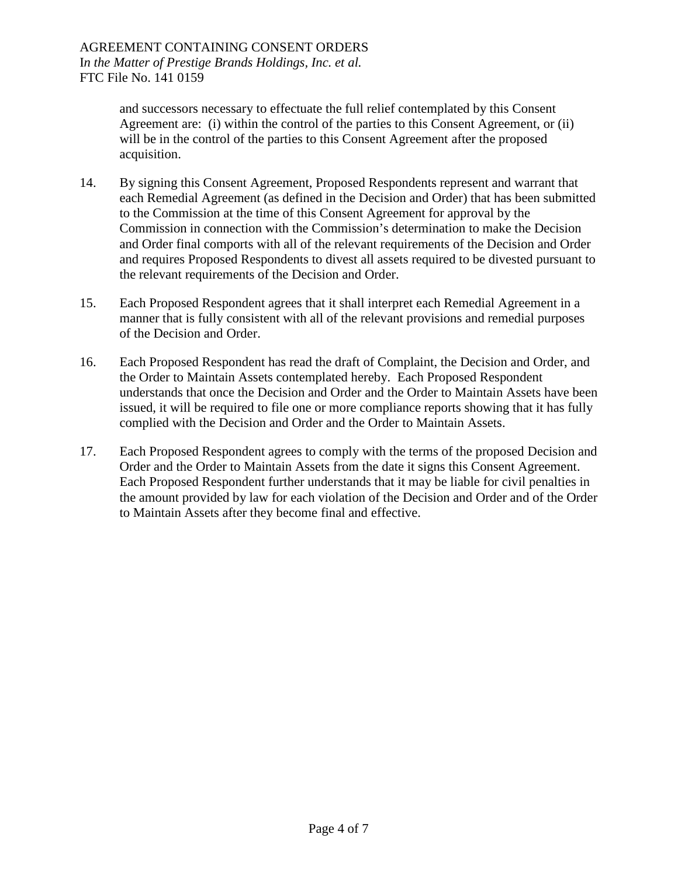and successors necessary to effectuate the full relief contemplated by this Consent Agreement are: (i) within the control of the parties to this Consent Agreement, or (ii) will be in the control of the parties to this Consent Agreement after the proposed acquisition.

- 14. By signing this Consent Agreement, Proposed Respondents represent and warrant that each Remedial Agreement (as defined in the Decision and Order) that has been submitted to the Commission at the time of this Consent Agreement for approval by the Commission in connection with the Commission's determination to make the Decision and Order final comports with all of the relevant requirements of the Decision and Order and requires Proposed Respondents to divest all assets required to be divested pursuant to the relevant requirements of the Decision and Order.
- 15. Each Proposed Respondent agrees that it shall interpret each Remedial Agreement in a manner that is fully consistent with all of the relevant provisions and remedial purposes of the Decision and Order.
- 16. Each Proposed Respondent has read the draft of Complaint, the Decision and Order, and the Order to Maintain Assets contemplated hereby. Each Proposed Respondent understands that once the Decision and Order and the Order to Maintain Assets have been issued, it will be required to file one or more compliance reports showing that it has fully complied with the Decision and Order and the Order to Maintain Assets.
- 17. Each Proposed Respondent agrees to comply with the terms of the proposed Decision and Order and the Order to Maintain Assets from the date it signs this Consent Agreement. Each Proposed Respondent further understands that it may be liable for civil penalties in the amount provided by law for each violation of the Decision and Order and of the Order to Maintain Assets after they become final and effective.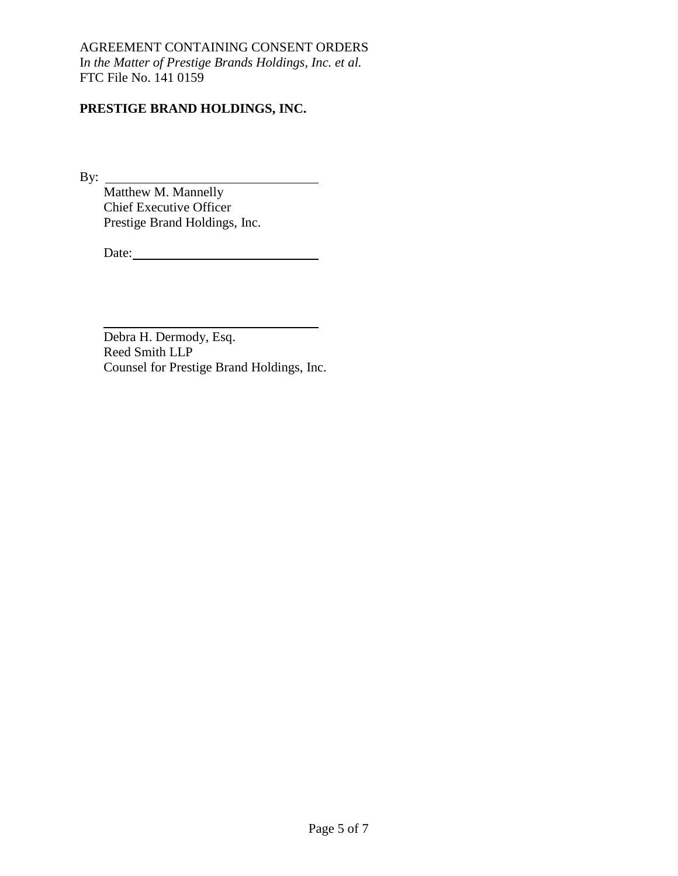# **PRESTIGE BRAND HOLDINGS, INC.**

By:

Matthew M. Mannelly Chief Executive Officer Prestige Brand Holdings, Inc.

Date:

Debra H. Dermody, Esq. Reed Smith LLP Counsel for Prestige Brand Holdings, Inc.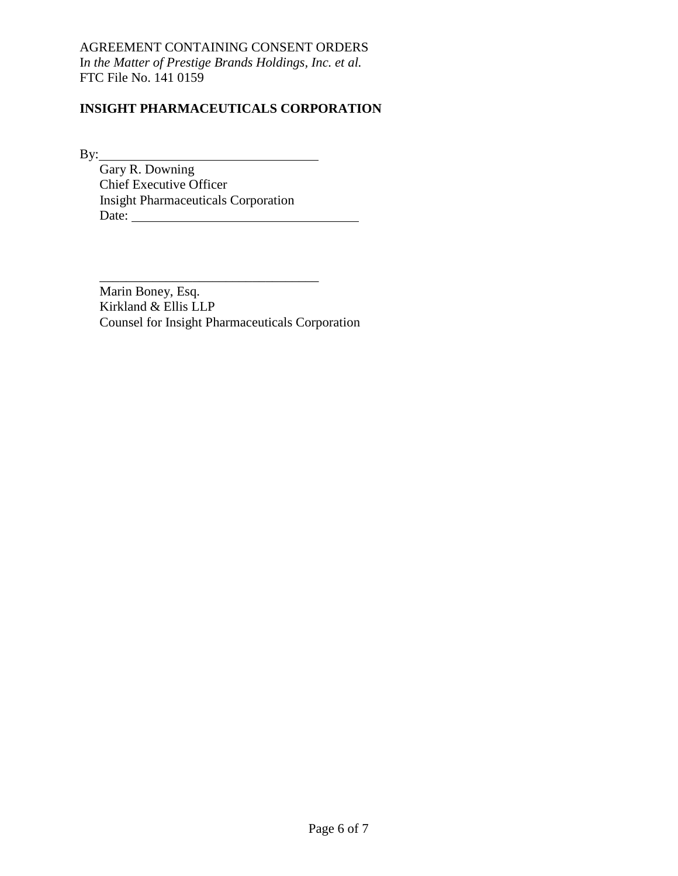# **INSIGHT PHARMACEUTICALS CORPORATION**

By:

Gary R. Downing Chief Executive Officer Insight Pharmaceuticals Corporation Date:

\_\_\_\_\_\_\_\_\_\_\_\_\_\_\_\_\_\_\_\_\_\_\_\_\_\_\_\_\_\_\_\_\_ Marin Boney, Esq. Kirkland & Ellis LLP Counsel for Insight Pharmaceuticals Corporation